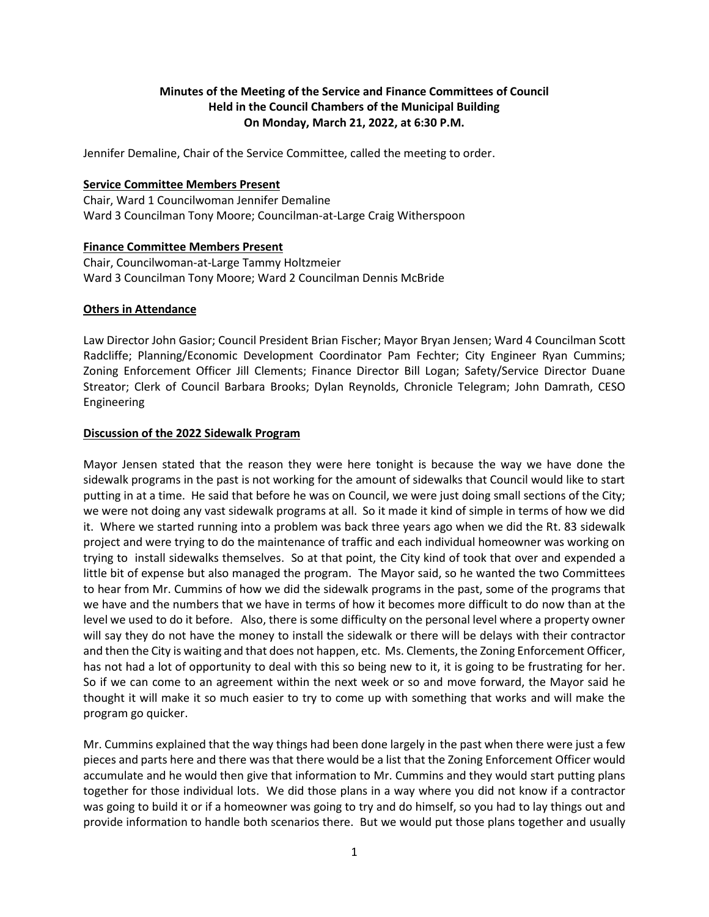# **Minutes of the Meeting of the Service and Finance Committees of Council Held in the Council Chambers of the Municipal Building On Monday, March 21, 2022, at 6:30 P.M.**

Jennifer Demaline, Chair of the Service Committee, called the meeting to order.

## **Service Committee Members Present**

Chair, Ward 1 Councilwoman Jennifer Demaline Ward 3 Councilman Tony Moore; Councilman-at-Large Craig Witherspoon

## **Finance Committee Members Present**

Chair, Councilwoman-at-Large Tammy Holtzmeier Ward 3 Councilman Tony Moore; Ward 2 Councilman Dennis McBride

## **Others in Attendance**

Law Director John Gasior; Council President Brian Fischer; Mayor Bryan Jensen; Ward 4 Councilman Scott Radcliffe; Planning/Economic Development Coordinator Pam Fechter; City Engineer Ryan Cummins; Zoning Enforcement Officer Jill Clements; Finance Director Bill Logan; Safety/Service Director Duane Streator; Clerk of Council Barbara Brooks; Dylan Reynolds, Chronicle Telegram; John Damrath, CESO Engineering

## **Discussion of the 2022 Sidewalk Program**

Mayor Jensen stated that the reason they were here tonight is because the way we have done the sidewalk programs in the past is not working for the amount of sidewalks that Council would like to start putting in at a time. He said that before he was on Council, we were just doing small sections of the City; we were not doing any vast sidewalk programs at all. So it made it kind of simple in terms of how we did it. Where we started running into a problem was back three years ago when we did the Rt. 83 sidewalk project and were trying to do the maintenance of traffic and each individual homeowner was working on trying to install sidewalks themselves. So at that point, the City kind of took that over and expended a little bit of expense but also managed the program. The Mayor said, so he wanted the two Committees to hear from Mr. Cummins of how we did the sidewalk programs in the past, some of the programs that we have and the numbers that we have in terms of how it becomes more difficult to do now than at the level we used to do it before. Also, there is some difficulty on the personal level where a property owner will say they do not have the money to install the sidewalk or there will be delays with their contractor and then the City is waiting and that does not happen, etc. Ms. Clements, the Zoning Enforcement Officer, has not had a lot of opportunity to deal with this so being new to it, it is going to be frustrating for her. So if we can come to an agreement within the next week or so and move forward, the Mayor said he thought it will make it so much easier to try to come up with something that works and will make the program go quicker.

Mr. Cummins explained that the way things had been done largely in the past when there were just a few pieces and parts here and there was that there would be a list that the Zoning Enforcement Officer would accumulate and he would then give that information to Mr. Cummins and they would start putting plans together for those individual lots. We did those plans in a way where you did not know if a contractor was going to build it or if a homeowner was going to try and do himself, so you had to lay things out and provide information to handle both scenarios there. But we would put those plans together and usually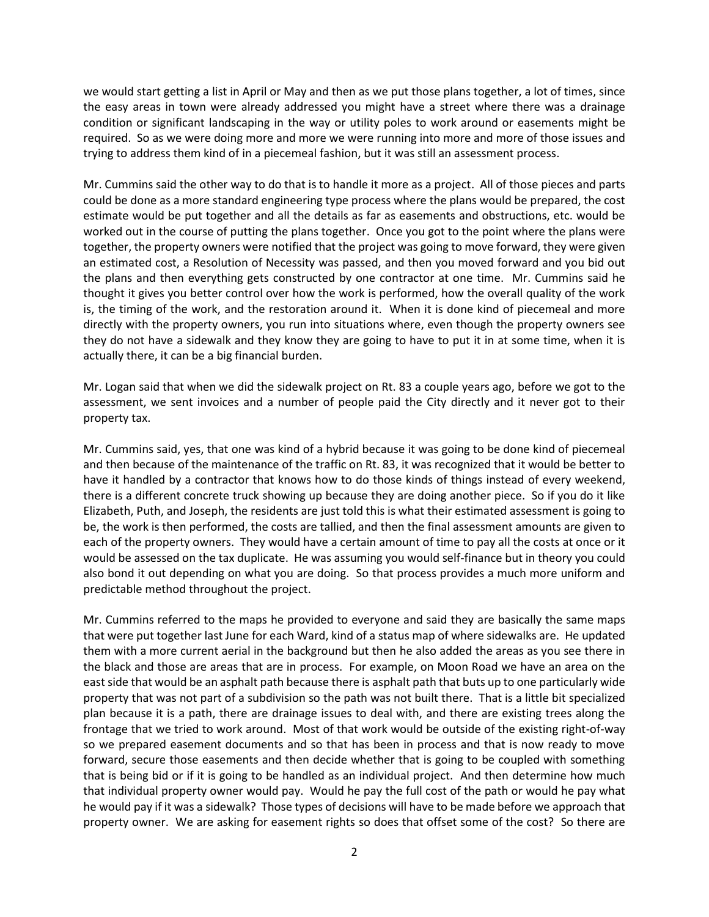we would start getting a list in April or May and then as we put those plans together, a lot of times, since the easy areas in town were already addressed you might have a street where there was a drainage condition or significant landscaping in the way or utility poles to work around or easements might be required. So as we were doing more and more we were running into more and more of those issues and trying to address them kind of in a piecemeal fashion, but it was still an assessment process.

Mr. Cummins said the other way to do that is to handle it more as a project. All of those pieces and parts could be done as a more standard engineering type process where the plans would be prepared, the cost estimate would be put together and all the details as far as easements and obstructions, etc. would be worked out in the course of putting the plans together. Once you got to the point where the plans were together, the property owners were notified that the project was going to move forward, they were given an estimated cost, a Resolution of Necessity was passed, and then you moved forward and you bid out the plans and then everything gets constructed by one contractor at one time. Mr. Cummins said he thought it gives you better control over how the work is performed, how the overall quality of the work is, the timing of the work, and the restoration around it. When it is done kind of piecemeal and more directly with the property owners, you run into situations where, even though the property owners see they do not have a sidewalk and they know they are going to have to put it in at some time, when it is actually there, it can be a big financial burden.

Mr. Logan said that when we did the sidewalk project on Rt. 83 a couple years ago, before we got to the assessment, we sent invoices and a number of people paid the City directly and it never got to their property tax.

Mr. Cummins said, yes, that one was kind of a hybrid because it was going to be done kind of piecemeal and then because of the maintenance of the traffic on Rt. 83, it was recognized that it would be better to have it handled by a contractor that knows how to do those kinds of things instead of every weekend, there is a different concrete truck showing up because they are doing another piece. So if you do it like Elizabeth, Puth, and Joseph, the residents are just told this is what their estimated assessment is going to be, the work is then performed, the costs are tallied, and then the final assessment amounts are given to each of the property owners. They would have a certain amount of time to pay all the costs at once or it would be assessed on the tax duplicate. He was assuming you would self-finance but in theory you could also bond it out depending on what you are doing. So that process provides a much more uniform and predictable method throughout the project.

Mr. Cummins referred to the maps he provided to everyone and said they are basically the same maps that were put together last June for each Ward, kind of a status map of where sidewalks are. He updated them with a more current aerial in the background but then he also added the areas as you see there in the black and those are areas that are in process. For example, on Moon Road we have an area on the east side that would be an asphalt path because there is asphalt path that buts up to one particularly wide property that was not part of a subdivision so the path was not built there. That is a little bit specialized plan because it is a path, there are drainage issues to deal with, and there are existing trees along the frontage that we tried to work around. Most of that work would be outside of the existing right-of-way so we prepared easement documents and so that has been in process and that is now ready to move forward, secure those easements and then decide whether that is going to be coupled with something that is being bid or if it is going to be handled as an individual project. And then determine how much that individual property owner would pay. Would he pay the full cost of the path or would he pay what he would pay if it was a sidewalk? Those types of decisions will have to be made before we approach that property owner. We are asking for easement rights so does that offset some of the cost? So there are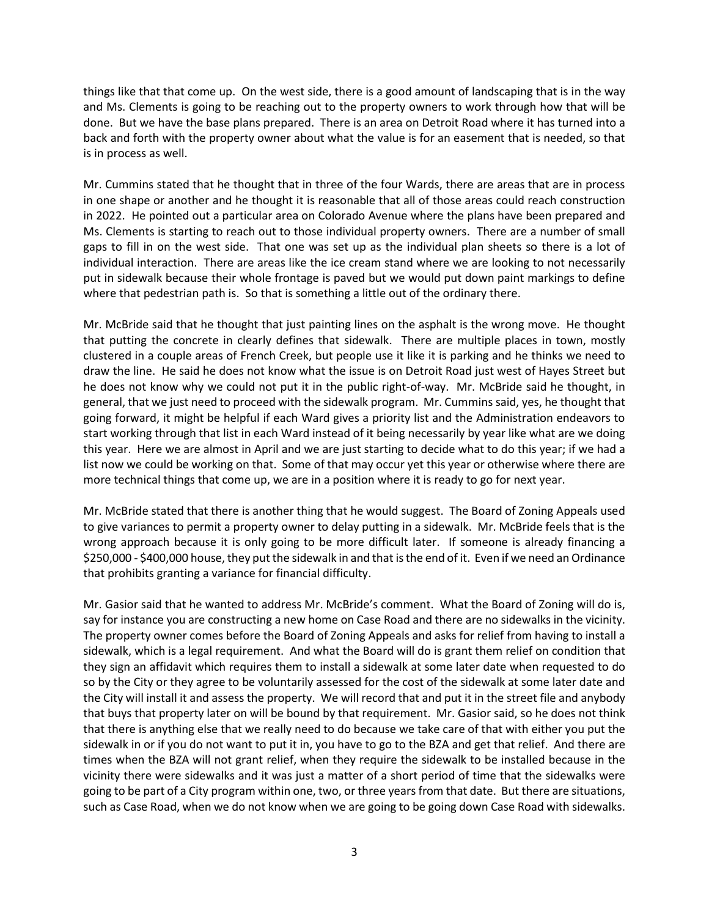things like that that come up. On the west side, there is a good amount of landscaping that is in the way and Ms. Clements is going to be reaching out to the property owners to work through how that will be done. But we have the base plans prepared. There is an area on Detroit Road where it has turned into a back and forth with the property owner about what the value is for an easement that is needed, so that is in process as well.

Mr. Cummins stated that he thought that in three of the four Wards, there are areas that are in process in one shape or another and he thought it is reasonable that all of those areas could reach construction in 2022. He pointed out a particular area on Colorado Avenue where the plans have been prepared and Ms. Clements is starting to reach out to those individual property owners. There are a number of small gaps to fill in on the west side. That one was set up as the individual plan sheets so there is a lot of individual interaction. There are areas like the ice cream stand where we are looking to not necessarily put in sidewalk because their whole frontage is paved but we would put down paint markings to define where that pedestrian path is. So that is something a little out of the ordinary there.

Mr. McBride said that he thought that just painting lines on the asphalt is the wrong move. He thought that putting the concrete in clearly defines that sidewalk. There are multiple places in town, mostly clustered in a couple areas of French Creek, but people use it like it is parking and he thinks we need to draw the line. He said he does not know what the issue is on Detroit Road just west of Hayes Street but he does not know why we could not put it in the public right-of-way. Mr. McBride said he thought, in general, that we just need to proceed with the sidewalk program. Mr. Cummins said, yes, he thought that going forward, it might be helpful if each Ward gives a priority list and the Administration endeavors to start working through that list in each Ward instead of it being necessarily by year like what are we doing this year. Here we are almost in April and we are just starting to decide what to do this year; if we had a list now we could be working on that. Some of that may occur yet this year or otherwise where there are more technical things that come up, we are in a position where it is ready to go for next year.

Mr. McBride stated that there is another thing that he would suggest. The Board of Zoning Appeals used to give variances to permit a property owner to delay putting in a sidewalk. Mr. McBride feels that is the wrong approach because it is only going to be more difficult later. If someone is already financing a \$250,000 - \$400,000 house, they put the sidewalk in and that is the end of it. Even if we need an Ordinance that prohibits granting a variance for financial difficulty.

Mr. Gasior said that he wanted to address Mr. McBride's comment. What the Board of Zoning will do is, say for instance you are constructing a new home on Case Road and there are no sidewalks in the vicinity. The property owner comes before the Board of Zoning Appeals and asks for relief from having to install a sidewalk, which is a legal requirement. And what the Board will do is grant them relief on condition that they sign an affidavit which requires them to install a sidewalk at some later date when requested to do so by the City or they agree to be voluntarily assessed for the cost of the sidewalk at some later date and the City will install it and assess the property. We will record that and put it in the street file and anybody that buys that property later on will be bound by that requirement. Mr. Gasior said, so he does not think that there is anything else that we really need to do because we take care of that with either you put the sidewalk in or if you do not want to put it in, you have to go to the BZA and get that relief. And there are times when the BZA will not grant relief, when they require the sidewalk to be installed because in the vicinity there were sidewalks and it was just a matter of a short period of time that the sidewalks were going to be part of a City program within one, two, or three years from that date. But there are situations, such as Case Road, when we do not know when we are going to be going down Case Road with sidewalks.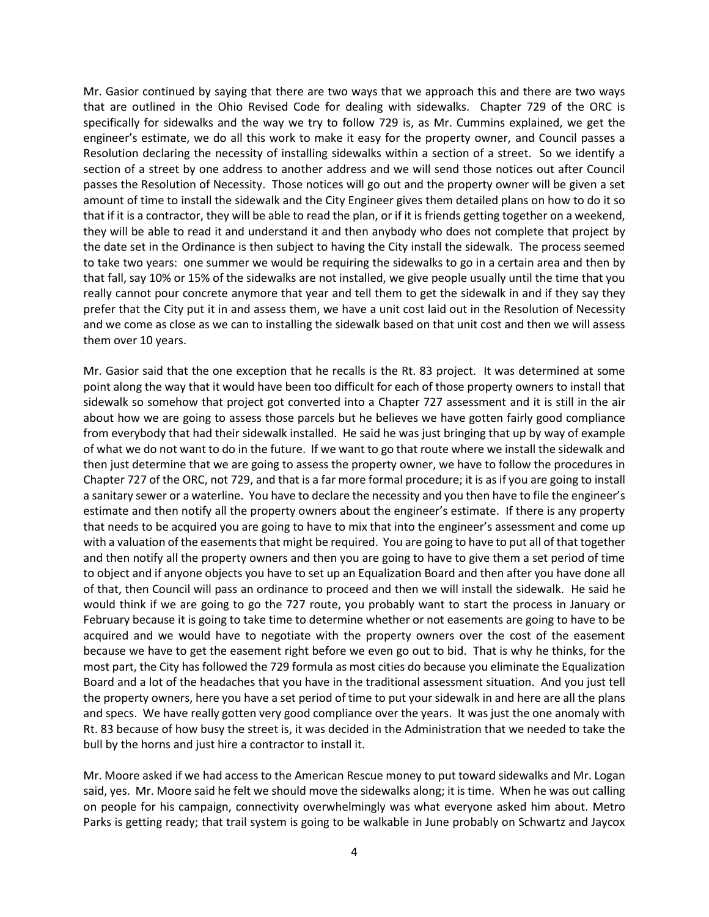Mr. Gasior continued by saying that there are two ways that we approach this and there are two ways that are outlined in the Ohio Revised Code for dealing with sidewalks. Chapter 729 of the ORC is specifically for sidewalks and the way we try to follow 729 is, as Mr. Cummins explained, we get the engineer's estimate, we do all this work to make it easy for the property owner, and Council passes a Resolution declaring the necessity of installing sidewalks within a section of a street. So we identify a section of a street by one address to another address and we will send those notices out after Council passes the Resolution of Necessity. Those notices will go out and the property owner will be given a set amount of time to install the sidewalk and the City Engineer gives them detailed plans on how to do it so that if it is a contractor, they will be able to read the plan, or if it is friends getting together on a weekend, they will be able to read it and understand it and then anybody who does not complete that project by the date set in the Ordinance is then subject to having the City install the sidewalk. The process seemed to take two years: one summer we would be requiring the sidewalks to go in a certain area and then by that fall, say 10% or 15% of the sidewalks are not installed, we give people usually until the time that you really cannot pour concrete anymore that year and tell them to get the sidewalk in and if they say they prefer that the City put it in and assess them, we have a unit cost laid out in the Resolution of Necessity and we come as close as we can to installing the sidewalk based on that unit cost and then we will assess them over 10 years.

Mr. Gasior said that the one exception that he recalls is the Rt. 83 project. It was determined at some point along the way that it would have been too difficult for each of those property owners to install that sidewalk so somehow that project got converted into a Chapter 727 assessment and it is still in the air about how we are going to assess those parcels but he believes we have gotten fairly good compliance from everybody that had their sidewalk installed. He said he was just bringing that up by way of example of what we do not want to do in the future. If we want to go that route where we install the sidewalk and then just determine that we are going to assess the property owner, we have to follow the procedures in Chapter 727 of the ORC, not 729, and that is a far more formal procedure; it is as if you are going to install a sanitary sewer or a waterline. You have to declare the necessity and you then have to file the engineer's estimate and then notify all the property owners about the engineer's estimate. If there is any property that needs to be acquired you are going to have to mix that into the engineer's assessment and come up with a valuation of the easements that might be required. You are going to have to put all of that together and then notify all the property owners and then you are going to have to give them a set period of time to object and if anyone objects you have to set up an Equalization Board and then after you have done all of that, then Council will pass an ordinance to proceed and then we will install the sidewalk. He said he would think if we are going to go the 727 route, you probably want to start the process in January or February because it is going to take time to determine whether or not easements are going to have to be acquired and we would have to negotiate with the property owners over the cost of the easement because we have to get the easement right before we even go out to bid. That is why he thinks, for the most part, the City has followed the 729 formula as most cities do because you eliminate the Equalization Board and a lot of the headaches that you have in the traditional assessment situation. And you just tell the property owners, here you have a set period of time to put your sidewalk in and here are all the plans and specs. We have really gotten very good compliance over the years. It was just the one anomaly with Rt. 83 because of how busy the street is, it was decided in the Administration that we needed to take the bull by the horns and just hire a contractor to install it.

Mr. Moore asked if we had access to the American Rescue money to put toward sidewalks and Mr. Logan said, yes. Mr. Moore said he felt we should move the sidewalks along; it is time. When he was out calling on people for his campaign, connectivity overwhelmingly was what everyone asked him about. Metro Parks is getting ready; that trail system is going to be walkable in June probably on Schwartz and Jaycox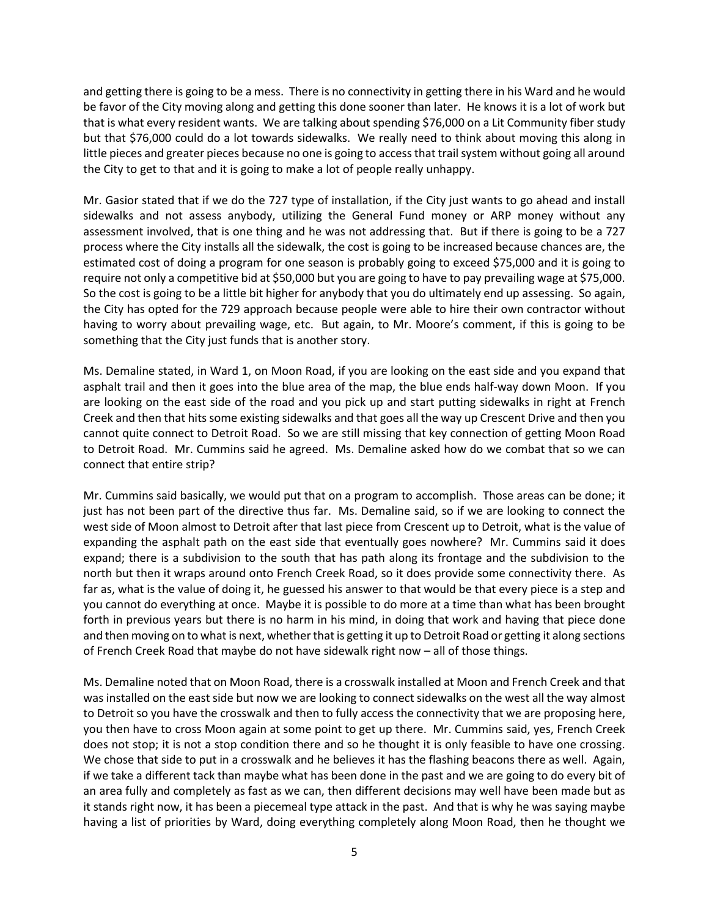and getting there is going to be a mess. There is no connectivity in getting there in his Ward and he would be favor of the City moving along and getting this done sooner than later. He knows it is a lot of work but that is what every resident wants. We are talking about spending \$76,000 on a Lit Community fiber study but that \$76,000 could do a lot towards sidewalks. We really need to think about moving this along in little pieces and greater pieces because no one is going to access that trail system without going all around the City to get to that and it is going to make a lot of people really unhappy.

Mr. Gasior stated that if we do the 727 type of installation, if the City just wants to go ahead and install sidewalks and not assess anybody, utilizing the General Fund money or ARP money without any assessment involved, that is one thing and he was not addressing that. But if there is going to be a 727 process where the City installs all the sidewalk, the cost is going to be increased because chances are, the estimated cost of doing a program for one season is probably going to exceed \$75,000 and it is going to require not only a competitive bid at \$50,000 but you are going to have to pay prevailing wage at \$75,000. So the cost is going to be a little bit higher for anybody that you do ultimately end up assessing. So again, the City has opted for the 729 approach because people were able to hire their own contractor without having to worry about prevailing wage, etc. But again, to Mr. Moore's comment, if this is going to be something that the City just funds that is another story.

Ms. Demaline stated, in Ward 1, on Moon Road, if you are looking on the east side and you expand that asphalt trail and then it goes into the blue area of the map, the blue ends half-way down Moon. If you are looking on the east side of the road and you pick up and start putting sidewalks in right at French Creek and then that hits some existing sidewalks and that goes all the way up Crescent Drive and then you cannot quite connect to Detroit Road. So we are still missing that key connection of getting Moon Road to Detroit Road. Mr. Cummins said he agreed. Ms. Demaline asked how do we combat that so we can connect that entire strip?

Mr. Cummins said basically, we would put that on a program to accomplish. Those areas can be done; it just has not been part of the directive thus far. Ms. Demaline said, so if we are looking to connect the west side of Moon almost to Detroit after that last piece from Crescent up to Detroit, what is the value of expanding the asphalt path on the east side that eventually goes nowhere? Mr. Cummins said it does expand; there is a subdivision to the south that has path along its frontage and the subdivision to the north but then it wraps around onto French Creek Road, so it does provide some connectivity there. As far as, what is the value of doing it, he guessed his answer to that would be that every piece is a step and you cannot do everything at once. Maybe it is possible to do more at a time than what has been brought forth in previous years but there is no harm in his mind, in doing that work and having that piece done and then moving on to what is next, whether that is getting it up to Detroit Road or getting it along sections of French Creek Road that maybe do not have sidewalk right now – all of those things.

Ms. Demaline noted that on Moon Road, there is a crosswalk installed at Moon and French Creek and that was installed on the east side but now we are looking to connect sidewalks on the west all the way almost to Detroit so you have the crosswalk and then to fully access the connectivity that we are proposing here, you then have to cross Moon again at some point to get up there. Mr. Cummins said, yes, French Creek does not stop; it is not a stop condition there and so he thought it is only feasible to have one crossing. We chose that side to put in a crosswalk and he believes it has the flashing beacons there as well. Again, if we take a different tack than maybe what has been done in the past and we are going to do every bit of an area fully and completely as fast as we can, then different decisions may well have been made but as it stands right now, it has been a piecemeal type attack in the past. And that is why he was saying maybe having a list of priorities by Ward, doing everything completely along Moon Road, then he thought we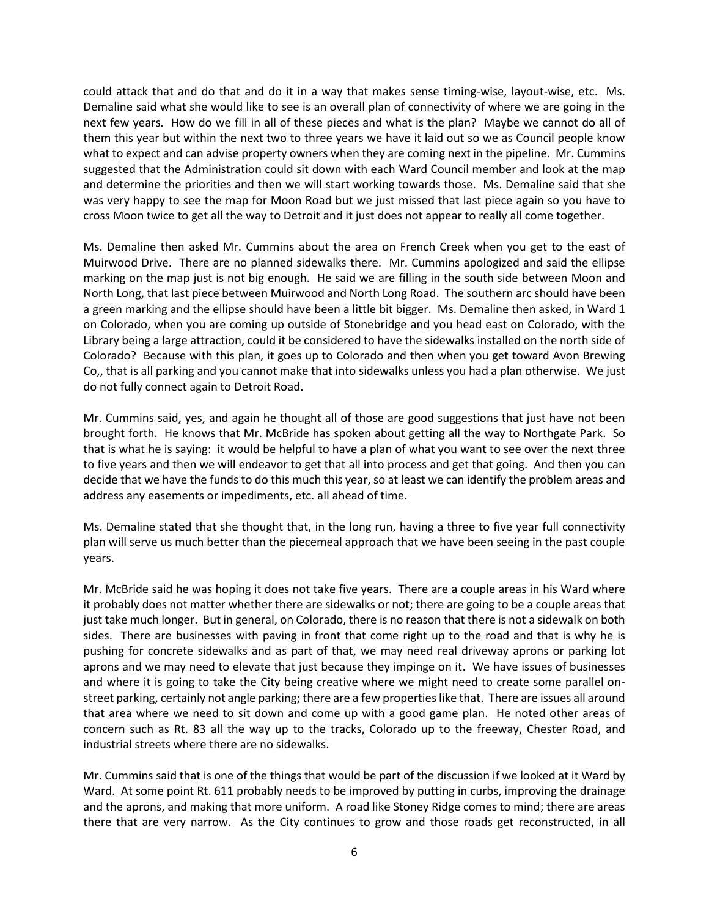could attack that and do that and do it in a way that makes sense timing-wise, layout-wise, etc. Ms. Demaline said what she would like to see is an overall plan of connectivity of where we are going in the next few years. How do we fill in all of these pieces and what is the plan? Maybe we cannot do all of them this year but within the next two to three years we have it laid out so we as Council people know what to expect and can advise property owners when they are coming next in the pipeline. Mr. Cummins suggested that the Administration could sit down with each Ward Council member and look at the map and determine the priorities and then we will start working towards those. Ms. Demaline said that she was very happy to see the map for Moon Road but we just missed that last piece again so you have to cross Moon twice to get all the way to Detroit and it just does not appear to really all come together.

Ms. Demaline then asked Mr. Cummins about the area on French Creek when you get to the east of Muirwood Drive. There are no planned sidewalks there. Mr. Cummins apologized and said the ellipse marking on the map just is not big enough. He said we are filling in the south side between Moon and North Long, that last piece between Muirwood and North Long Road. The southern arc should have been a green marking and the ellipse should have been a little bit bigger. Ms. Demaline then asked, in Ward 1 on Colorado, when you are coming up outside of Stonebridge and you head east on Colorado, with the Library being a large attraction, could it be considered to have the sidewalks installed on the north side of Colorado? Because with this plan, it goes up to Colorado and then when you get toward Avon Brewing Co,, that is all parking and you cannot make that into sidewalks unless you had a plan otherwise. We just do not fully connect again to Detroit Road.

Mr. Cummins said, yes, and again he thought all of those are good suggestions that just have not been brought forth. He knows that Mr. McBride has spoken about getting all the way to Northgate Park. So that is what he is saying: it would be helpful to have a plan of what you want to see over the next three to five years and then we will endeavor to get that all into process and get that going. And then you can decide that we have the funds to do this much this year, so at least we can identify the problem areas and address any easements or impediments, etc. all ahead of time.

Ms. Demaline stated that she thought that, in the long run, having a three to five year full connectivity plan will serve us much better than the piecemeal approach that we have been seeing in the past couple years.

Mr. McBride said he was hoping it does not take five years. There are a couple areas in his Ward where it probably does not matter whether there are sidewalks or not; there are going to be a couple areas that just take much longer. But in general, on Colorado, there is no reason that there is not a sidewalk on both sides. There are businesses with paving in front that come right up to the road and that is why he is pushing for concrete sidewalks and as part of that, we may need real driveway aprons or parking lot aprons and we may need to elevate that just because they impinge on it. We have issues of businesses and where it is going to take the City being creative where we might need to create some parallel onstreet parking, certainly not angle parking; there are a few properties like that. There are issues all around that area where we need to sit down and come up with a good game plan. He noted other areas of concern such as Rt. 83 all the way up to the tracks, Colorado up to the freeway, Chester Road, and industrial streets where there are no sidewalks.

Mr. Cummins said that is one of the things that would be part of the discussion if we looked at it Ward by Ward. At some point Rt. 611 probably needs to be improved by putting in curbs, improving the drainage and the aprons, and making that more uniform. A road like Stoney Ridge comes to mind; there are areas there that are very narrow. As the City continues to grow and those roads get reconstructed, in all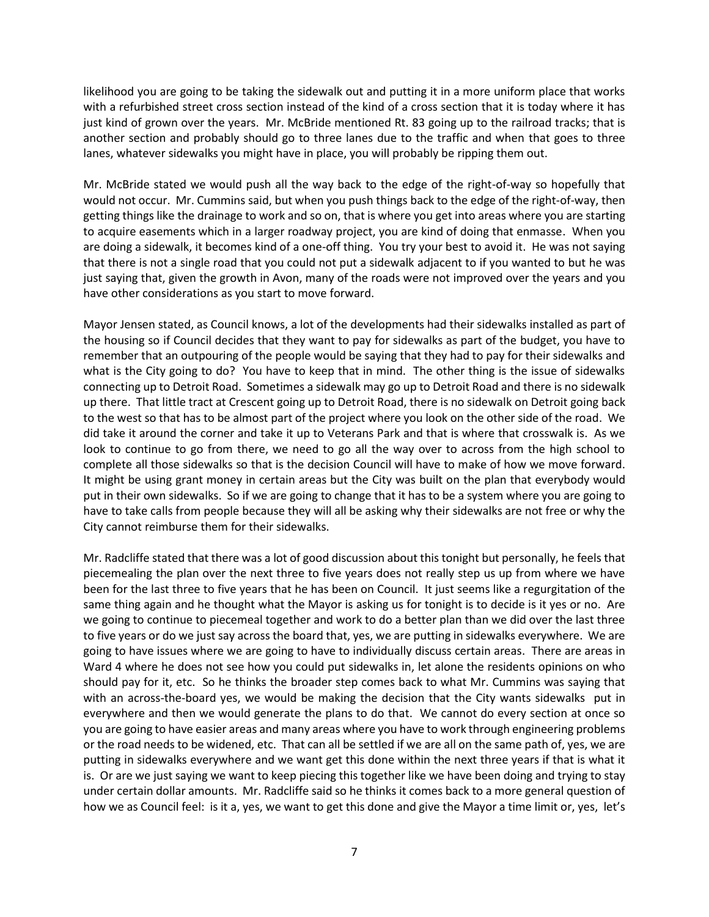likelihood you are going to be taking the sidewalk out and putting it in a more uniform place that works with a refurbished street cross section instead of the kind of a cross section that it is today where it has just kind of grown over the years. Mr. McBride mentioned Rt. 83 going up to the railroad tracks; that is another section and probably should go to three lanes due to the traffic and when that goes to three lanes, whatever sidewalks you might have in place, you will probably be ripping them out.

Mr. McBride stated we would push all the way back to the edge of the right-of-way so hopefully that would not occur. Mr. Cummins said, but when you push things back to the edge of the right-of-way, then getting things like the drainage to work and so on, that is where you get into areas where you are starting to acquire easements which in a larger roadway project, you are kind of doing that enmasse. When you are doing a sidewalk, it becomes kind of a one-off thing. You try your best to avoid it. He was not saying that there is not a single road that you could not put a sidewalk adjacent to if you wanted to but he was just saying that, given the growth in Avon, many of the roads were not improved over the years and you have other considerations as you start to move forward.

Mayor Jensen stated, as Council knows, a lot of the developments had their sidewalks installed as part of the housing so if Council decides that they want to pay for sidewalks as part of the budget, you have to remember that an outpouring of the people would be saying that they had to pay for their sidewalks and what is the City going to do? You have to keep that in mind. The other thing is the issue of sidewalks connecting up to Detroit Road. Sometimes a sidewalk may go up to Detroit Road and there is no sidewalk up there. That little tract at Crescent going up to Detroit Road, there is no sidewalk on Detroit going back to the west so that has to be almost part of the project where you look on the other side of the road. We did take it around the corner and take it up to Veterans Park and that is where that crosswalk is. As we look to continue to go from there, we need to go all the way over to across from the high school to complete all those sidewalks so that is the decision Council will have to make of how we move forward. It might be using grant money in certain areas but the City was built on the plan that everybody would put in their own sidewalks. So if we are going to change that it has to be a system where you are going to have to take calls from people because they will all be asking why their sidewalks are not free or why the City cannot reimburse them for their sidewalks.

Mr. Radcliffe stated that there was a lot of good discussion about this tonight but personally, he feels that piecemealing the plan over the next three to five years does not really step us up from where we have been for the last three to five years that he has been on Council. It just seems like a regurgitation of the same thing again and he thought what the Mayor is asking us for tonight is to decide is it yes or no. Are we going to continue to piecemeal together and work to do a better plan than we did over the last three to five years or do we just say across the board that, yes, we are putting in sidewalks everywhere. We are going to have issues where we are going to have to individually discuss certain areas. There are areas in Ward 4 where he does not see how you could put sidewalks in, let alone the residents opinions on who should pay for it, etc. So he thinks the broader step comes back to what Mr. Cummins was saying that with an across-the-board yes, we would be making the decision that the City wants sidewalks put in everywhere and then we would generate the plans to do that. We cannot do every section at once so you are going to have easier areas and many areas where you have to work through engineering problems or the road needs to be widened, etc. That can all be settled if we are all on the same path of, yes, we are putting in sidewalks everywhere and we want get this done within the next three years if that is what it is. Or are we just saying we want to keep piecing this together like we have been doing and trying to stay under certain dollar amounts. Mr. Radcliffe said so he thinks it comes back to a more general question of how we as Council feel: is it a, yes, we want to get this done and give the Mayor a time limit or, yes, let's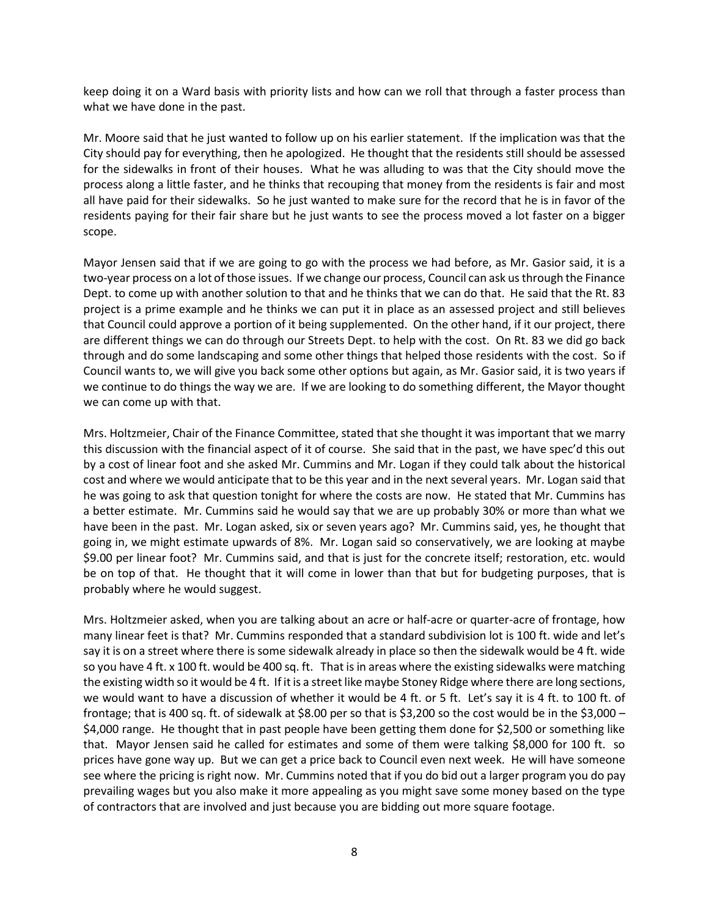keep doing it on a Ward basis with priority lists and how can we roll that through a faster process than what we have done in the past.

Mr. Moore said that he just wanted to follow up on his earlier statement. If the implication was that the City should pay for everything, then he apologized. He thought that the residents still should be assessed for the sidewalks in front of their houses. What he was alluding to was that the City should move the process along a little faster, and he thinks that recouping that money from the residents is fair and most all have paid for their sidewalks. So he just wanted to make sure for the record that he is in favor of the residents paying for their fair share but he just wants to see the process moved a lot faster on a bigger scope.

Mayor Jensen said that if we are going to go with the process we had before, as Mr. Gasior said, it is a two-year process on a lot of those issues. If we change our process, Council can ask us through the Finance Dept. to come up with another solution to that and he thinks that we can do that. He said that the Rt. 83 project is a prime example and he thinks we can put it in place as an assessed project and still believes that Council could approve a portion of it being supplemented. On the other hand, if it our project, there are different things we can do through our Streets Dept. to help with the cost. On Rt. 83 we did go back through and do some landscaping and some other things that helped those residents with the cost. So if Council wants to, we will give you back some other options but again, as Mr. Gasior said, it is two years if we continue to do things the way we are. If we are looking to do something different, the Mayor thought we can come up with that.

Mrs. Holtzmeier, Chair of the Finance Committee, stated that she thought it was important that we marry this discussion with the financial aspect of it of course. She said that in the past, we have spec'd this out by a cost of linear foot and she asked Mr. Cummins and Mr. Logan if they could talk about the historical cost and where we would anticipate that to be this year and in the next several years. Mr. Logan said that he was going to ask that question tonight for where the costs are now. He stated that Mr. Cummins has a better estimate. Mr. Cummins said he would say that we are up probably 30% or more than what we have been in the past. Mr. Logan asked, six or seven years ago? Mr. Cummins said, yes, he thought that going in, we might estimate upwards of 8%. Mr. Logan said so conservatively, we are looking at maybe \$9.00 per linear foot? Mr. Cummins said, and that is just for the concrete itself; restoration, etc. would be on top of that. He thought that it will come in lower than that but for budgeting purposes, that is probably where he would suggest.

Mrs. Holtzmeier asked, when you are talking about an acre or half-acre or quarter-acre of frontage, how many linear feet is that? Mr. Cummins responded that a standard subdivision lot is 100 ft. wide and let's say it is on a street where there is some sidewalk already in place so then the sidewalk would be 4 ft. wide so you have 4 ft. x 100 ft. would be 400 sq. ft. That is in areas where the existing sidewalks were matching the existing width so it would be 4 ft. If it is a street like maybe Stoney Ridge where there are long sections, we would want to have a discussion of whether it would be 4 ft. or 5 ft. Let's say it is 4 ft. to 100 ft. of frontage; that is 400 sq. ft. of sidewalk at \$8.00 per so that is \$3,200 so the cost would be in the \$3,000 – \$4,000 range. He thought that in past people have been getting them done for \$2,500 or something like that. Mayor Jensen said he called for estimates and some of them were talking \$8,000 for 100 ft. so prices have gone way up. But we can get a price back to Council even next week. He will have someone see where the pricing is right now. Mr. Cummins noted that if you do bid out a larger program you do pay prevailing wages but you also make it more appealing as you might save some money based on the type of contractors that are involved and just because you are bidding out more square footage.